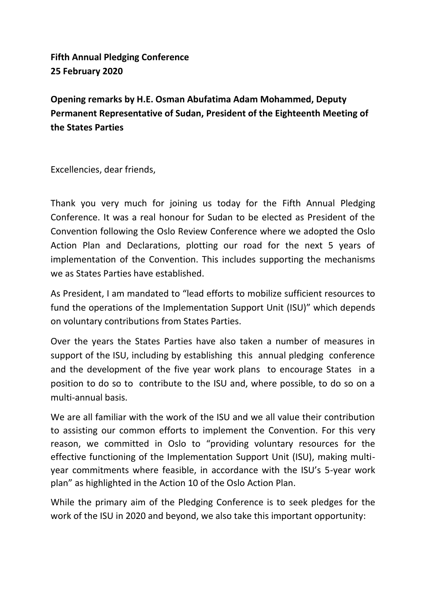**Fifth Annual Pledging Conference 25 February 2020**

**Opening remarks by H.E. Osman Abufatima Adam Mohammed, Deputy Permanent Representative of Sudan, President of the Eighteenth Meeting of the States Parties** 

Excellencies, dear friends,

Thank you very much for joining us today for the Fifth Annual Pledging Conference. It was a real honour for Sudan to be elected as President of the Convention following the Oslo Review Conference where we adopted the Oslo Action Plan and Declarations, plotting our road for the next 5 years of implementation of the Convention. This includes supporting the mechanisms we as States Parties have established.

As President, I am mandated to "lead efforts to mobilize sufficient resources to fund the operations of the Implementation Support Unit (ISU)" which depends on voluntary contributions from States Parties.

Over the years the States Parties have also taken a number of measures in support of the ISU, including by establishing this annual pledging conference and the development of the five year work plans to encourage States in a position to do so to contribute to the ISU and, where possible, to do so on a multi-annual basis.

We are all familiar with the work of the ISU and we all value their contribution to assisting our common efforts to implement the Convention. For this very reason, we committed in Oslo to "providing voluntary resources for the effective functioning of the Implementation Support Unit (ISU), making multiyear commitments where feasible, in accordance with the ISU's 5-year work plan" as highlighted in the Action 10 of the Oslo Action Plan.

While the primary aim of the Pledging Conference is to seek pledges for the work of the ISU in 2020 and beyond, we also take this important opportunity: